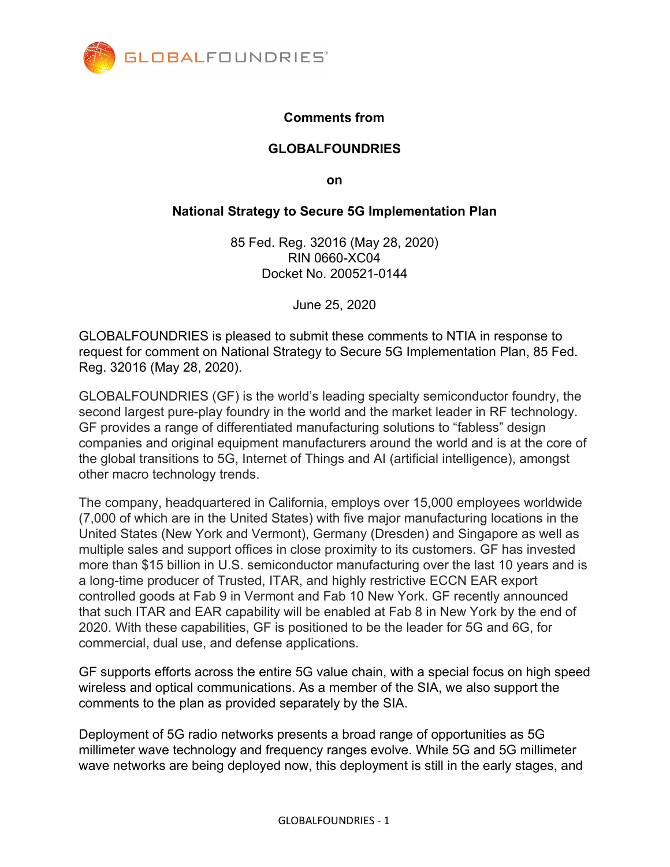

## **Comments from**

#### **GLOBALFOUNDRIES**

**on**

#### **National Strategy to Secure 5G Implementation Plan**

85 Fed. Reg. 32016 (May 28, 2020) RIN 0660-XC04 Docket No. 200521-0144

June 25, 2020

GLOBALFOUNDRIES is pleased to submit these comments to NTIA in response to request for comment on National Strategy to Secure 5G Implementation Plan, 85 Fed. Reg. 32016 (May 28, 2020).

GLOBALFOUNDRIES (GF) is the world's leading specialty semiconductor foundry, the second largest pure-play foundry in the world and the market leader in RF technology. GF provides a range of differentiated manufacturing solutions to "fabless" design companies and original equipment manufacturers around the world and is at the core of the global transitions to 5G, Internet of Things and AI (artificial intelligence), amongst other macro technology trends.

The company, headquartered in California, employs over 15,000 employees worldwide (7,000 of which are in the United States) with five major manufacturing locations in the United States (New York and Vermont), Germany (Dresden) and Singapore as well as multiple sales and support offices in close proximity to its customers. GF has invested more than \$15 billion in U.S. semiconductor manufacturing over the last 10 years and is a long-time producer of Trusted, ITAR, and highly restrictive ECCN EAR export controlled goods at Fab 9 in Vermont and Fab 10 New York. GF recently announced that such ITAR and EAR capability will be enabled at Fab 8 in New York by the end of 2020. With these capabilities, GF is positioned to be the leader for 5G and 6G, for commercial, dual use, and defense applications.

GF supports efforts across the entire 5G value chain, with a special focus on high speed wireless and optical communications. As a member of the SIA, we also support the comments to the plan as provided separately by the SIA.

Deployment of 5G radio networks presents a broad range of opportunities as 5G millimeter wave technology and frequency ranges evolve. While 5G and 5G millimeter wave networks are being deployed now, this deployment is still in the early stages, and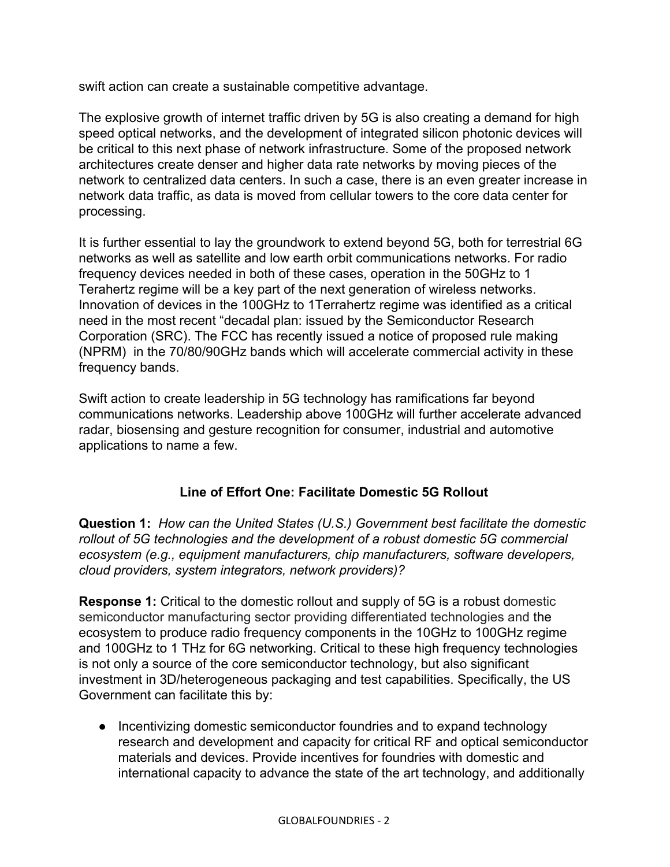swift action can create a sustainable competitive advantage.

The explosive growth of internet traffic driven by 5G is also creating a demand for high speed optical networks, and the development of integrated silicon photonic devices will be critical to this next phase of network infrastructure. Some of the proposed network architectures create denser and higher data rate networks by moving pieces of the network to centralized data centers. In such a case, there is an even greater increase in network data traffic, as data is moved from cellular towers to the core data center for processing.

It is further essential to lay the groundwork to extend beyond 5G, both for terrestrial 6G networks as well as satellite and low earth orbit communications networks. For radio frequency devices needed in both of these cases, operation in the 50GHz to 1 Terahertz regime will be a key part of the next generation of wireless networks. Innovation of devices in the 100GHz to 1Terrahertz regime was identified as a critical need in the most recent "decadal plan: issued by the Semiconductor Research Corporation (SRC). The FCC has recently issued a notice of proposed rule making (NPRM) in the 70/80/90GHz bands which will accelerate commercial activity in these frequency bands.

Swift action to create leadership in 5G technology has ramifications far beyond communications networks. Leadership above 100GHz will further accelerate advanced radar, biosensing and gesture recognition for consumer, industrial and automotive applications to name a few.

# **Line of Effort One: Facilitate Domestic 5G Rollout**

**Question 1:** *How can the United States (U.S.) Government best facilitate the domestic rollout of 5G technologies and the development of a robust domestic 5G commercial ecosystem (e.g., equipment manufacturers, chip manufacturers, software developers, cloud providers, system integrators, network providers)?*

**Response 1:** Critical to the domestic rollout and supply of 5G is a robust domestic semiconductor manufacturing sector providing differentiated technologies and the ecosystem to produce radio frequency components in the 10GHz to 100GHz regime and 100GHz to 1 THz for 6G networking. Critical to these high frequency technologies is not only a source of the core semiconductor technology, but also significant investment in 3D/heterogeneous packaging and test capabilities. Specifically, the US Government can facilitate this by:

● Incentivizing domestic semiconductor foundries and to expand technology research and development and capacity for critical RF and optical semiconductor materials and devices. Provide incentives for foundries with domestic and international capacity to advance the state of the art technology, and additionally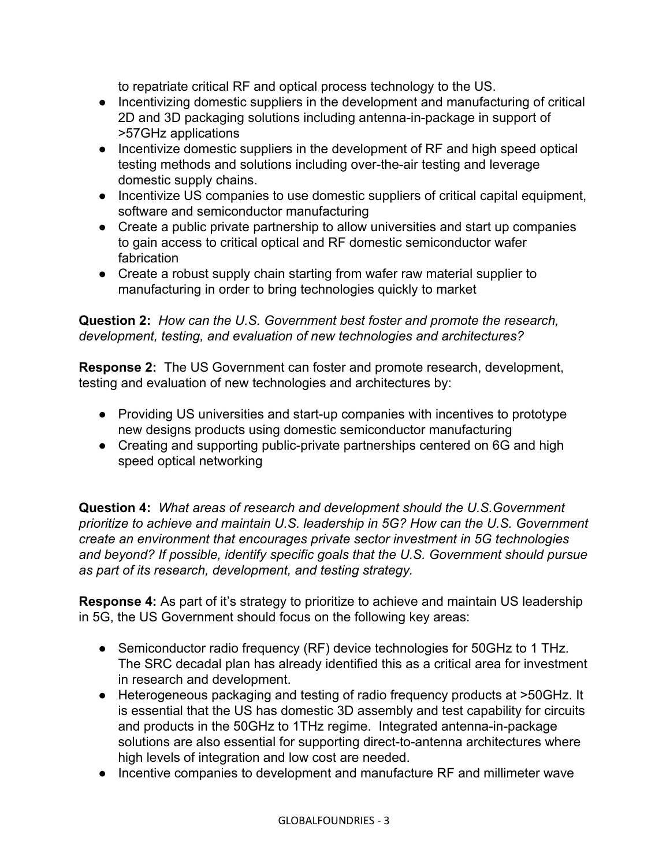to repatriate critical RF and optical process technology to the US.

- Incentivizing domestic suppliers in the development and manufacturing of critical 2D and 3D packaging solutions including antenna-in-package in support of >57GHz applications
- Incentivize domestic suppliers in the development of RF and high speed optical testing methods and solutions including over-the-air testing and leverage domestic supply chains.
- Incentivize US companies to use domestic suppliers of critical capital equipment, software and semiconductor manufacturing
- Create a public private partnership to allow universities and start up companies to gain access to critical optical and RF domestic semiconductor wafer fabrication
- Create a robust supply chain starting from wafer raw material supplier to manufacturing in order to bring technologies quickly to market

## **Question 2:** *How can the U.S. Government best foster and promote the research, development, testing, and evaluation of new technologies and architectures?*

**Response 2:** The US Government can foster and promote research, development, testing and evaluation of new technologies and architectures by:

- Providing US universities and start-up companies with incentives to prototype new designs products using domestic semiconductor manufacturing
- Creating and supporting public-private partnerships centered on 6G and high speed optical networking

**Question 4:** *What areas of research and development should the U.S.Government prioritize to achieve and maintain U.S. leadership in 5G? How can the U.S. Government create an environment that encourages private sector investment in 5G technologies and beyond? If possible, identify specific goals that the U.S. Government should pursue as part of its research, development, and testing strategy.*

**Response 4:** As part of it's strategy to prioritize to achieve and maintain US leadership in 5G, the US Government should focus on the following key areas:

- Semiconductor radio frequency (RF) device technologies for 50GHz to 1 THz. The SRC decadal plan has already identified this as a critical area for investment in research and development.
- Heterogeneous packaging and testing of radio frequency products at >50GHz. It is essential that the US has domestic 3D assembly and test capability for circuits and products in the 50GHz to 1THz regime. Integrated antenna-in-package solutions are also essential for supporting direct-to-antenna architectures where high levels of integration and low cost are needed.
- Incentive companies to development and manufacture RF and millimeter wave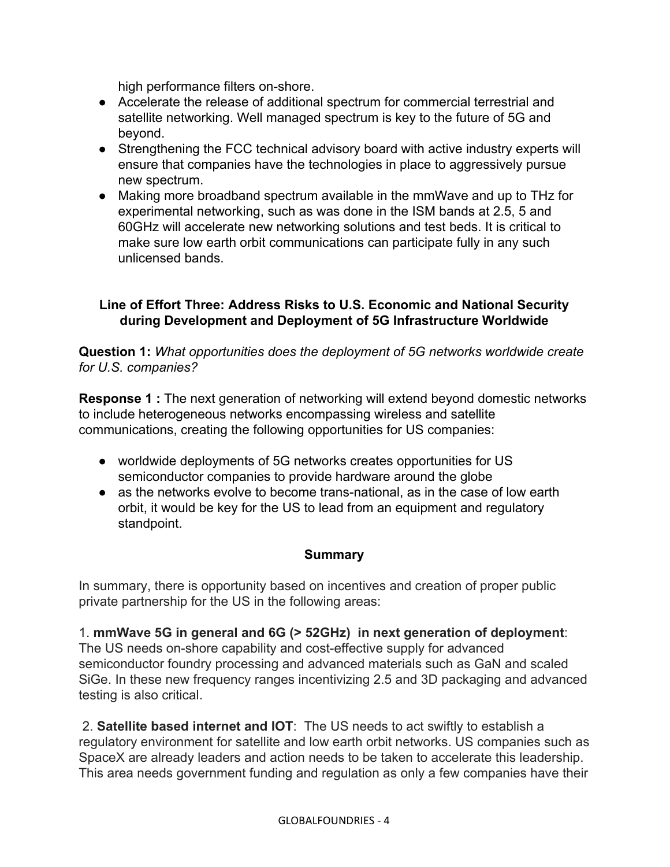high performance filters on-shore.

- Accelerate the release of additional spectrum for commercial terrestrial and satellite networking. Well managed spectrum is key to the future of 5G and beyond.
- Strengthening the FCC technical advisory board with active industry experts will ensure that companies have the technologies in place to aggressively pursue new spectrum.
- Making more broadband spectrum available in the mmWave and up to THz for experimental networking, such as was done in the ISM bands at 2.5, 5 and 60GHz will accelerate new networking solutions and test beds. It is critical to make sure low earth orbit communications can participate fully in any such unlicensed bands.

## **Line of Effort Three: Address Risks to U.S. Economic and National Security during Development and Deployment of 5G Infrastructure Worldwide**

**Question 1:** *What opportunities does the deployment of 5G networks worldwide create for U.S. companies?*

**Response 1 :** The next generation of networking will extend beyond domestic networks to include heterogeneous networks encompassing wireless and satellite communications, creating the following opportunities for US companies:

- worldwide deployments of 5G networks creates opportunities for US semiconductor companies to provide hardware around the globe
- as the networks evolve to become trans-national, as in the case of low earth orbit, it would be key for the US to lead from an equipment and regulatory standpoint.

## **Summary**

In summary, there is opportunity based on incentives and creation of proper public private partnership for the US in the following areas:

1. **mmWave 5G in general and 6G (> 52GHz) in next generation of deployment**: The US needs on-shore capability and cost-effective supply for advanced semiconductor foundry processing and advanced materials such as GaN and scaled SiGe. In these new frequency ranges incentivizing 2.5 and 3D packaging and advanced testing is also critical.

 2. **Satellite based internet and IOT**: The US needs to act swiftly to establish a regulatory environment for satellite and low earth orbit networks. US companies such as SpaceX are already leaders and action needs to be taken to accelerate this leadership. This area needs government funding and regulation as only a few companies have their